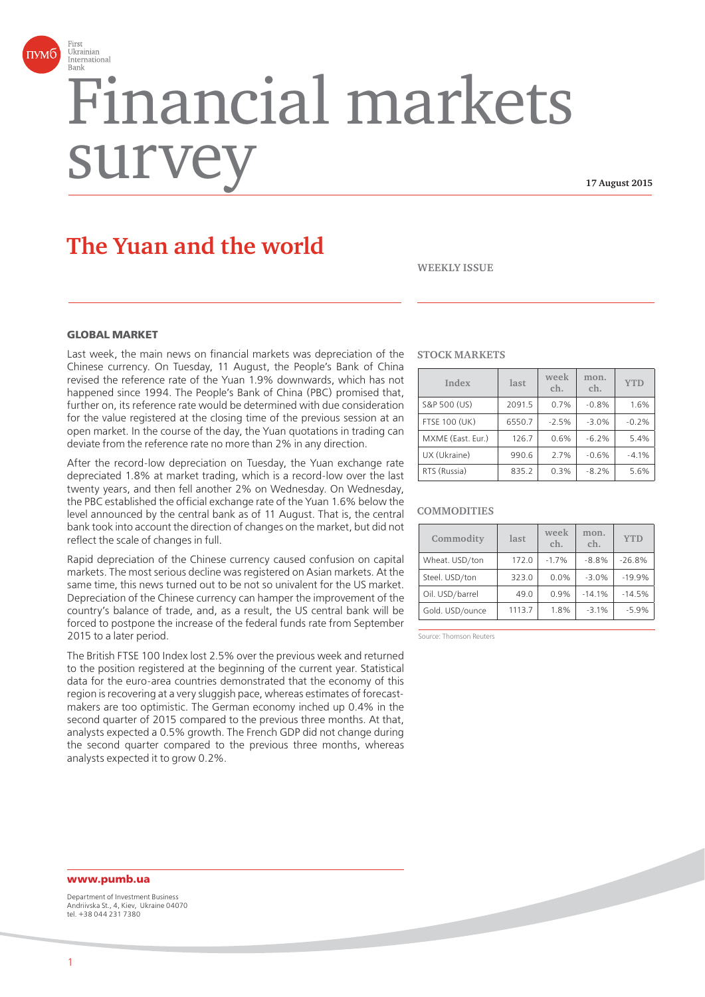

# Financial markets surv

**17 August 2015**

# **The Yuan and the world**

**WEEKLY ISSUE**

#### **GLORAL MARKET**

Last week, the main news on financial markets was depreciation of the Chinese currency. On Tuesday, 11 August, the People's Bank of China revised the reference rate of the Yuan 1.9% downwards, which has not happened since 1994. The People's Bank of China (PBC) promised that, further on, its reference rate would be determined with due consideration for the value registered at the closing time of the previous session at an open market. In the course of the day, the Yuan quotations in trading can deviate from the reference rate no more than 2% in any direction.

After the record-low depreciation on Tuesday, the Yuan exchange rate depreciated 1.8% at market trading, which is a record-low over the last twenty years, and then fell another 2% on Wednesday. On Wednesday, the PBC established the official exchange rate of the Yuan 1.6% below the level announced by the central bank as of 11 August. That is, the central bank took into account the direction of changes on the market, but did not reflect the scale of changes in full.

Rapid depreciation of the Chinese currency caused confusion on capital markets. The most serious decline was registered on Asian markets. At the same time, this news turned out to be not so univalent for the US market. Depreciation of the Chinese currency can hamper the improvement of the country's balance of trade, and, as a result, the US central bank will be forced to postpone the increase of the federal funds rate from September 2015 to a later period.

The British FTSE 100 Index lost 2.5% over the previous week and returned to the position registered at the beginning of the current year. Statistical data for the euro-area countries demonstrated that the economy of this region is recovering at a very sluggish pace, whereas estimates of forecastmakers are too optimistic. The German economy inched up 0.4% in the second quarter of 2015 compared to the previous three months. At that, analysts expected a 0.5% growth. The French GDP did not change during the second quarter compared to the previous three months, whereas analysts expected it to grow 0.2%.

#### **STOCK MARKETS**

| Index                | last   | week<br>ch. | mon.<br>ch. | <b>YTD</b> |
|----------------------|--------|-------------|-------------|------------|
| S&P 500 (US)         | 2091.5 | 0.7%        | $-0.8%$     | 1.6%       |
| <b>FTSE 100 (UK)</b> | 6550.7 | $-2.5%$     | $-3.0%$     | $-0.2%$    |
| MXME (East. Eur.)    | 126.7  | 0.6%        | $-6.2%$     | 5.4%       |
| UX (Ukraine)         | 990.6  | 2.7%        | $-0.6%$     | $-4.1%$    |
| RTS (Russia)         | 835.2  | 0.3%        | $-8.2%$     | 5.6%       |

#### **COMMODITIES**

| Commodity       | last   | week<br>ch. | mon.<br>ch. | <b>YTD</b> |
|-----------------|--------|-------------|-------------|------------|
| Wheat. USD/ton  | 172.0  | $-1.7%$     | $-8.8%$     | $-26.8%$   |
| Steel. USD/ton  | 323.0  | 0.0%        | $-3.0%$     | $-19.9%$   |
| Oil. USD/barrel | 49.0   | 0.9%        | $-14.1%$    | $-14.5%$   |
| Gold. USD/ounce | 1113.7 | 1.8%        | $-3.1%$     | $-5.9%$    |

Source: Thomson Reuters

### **www.pumb.ua**

Department of Investment Business Andriivska St., 4, Kiev, Ukraine 04070 tel. +38 044 231 7380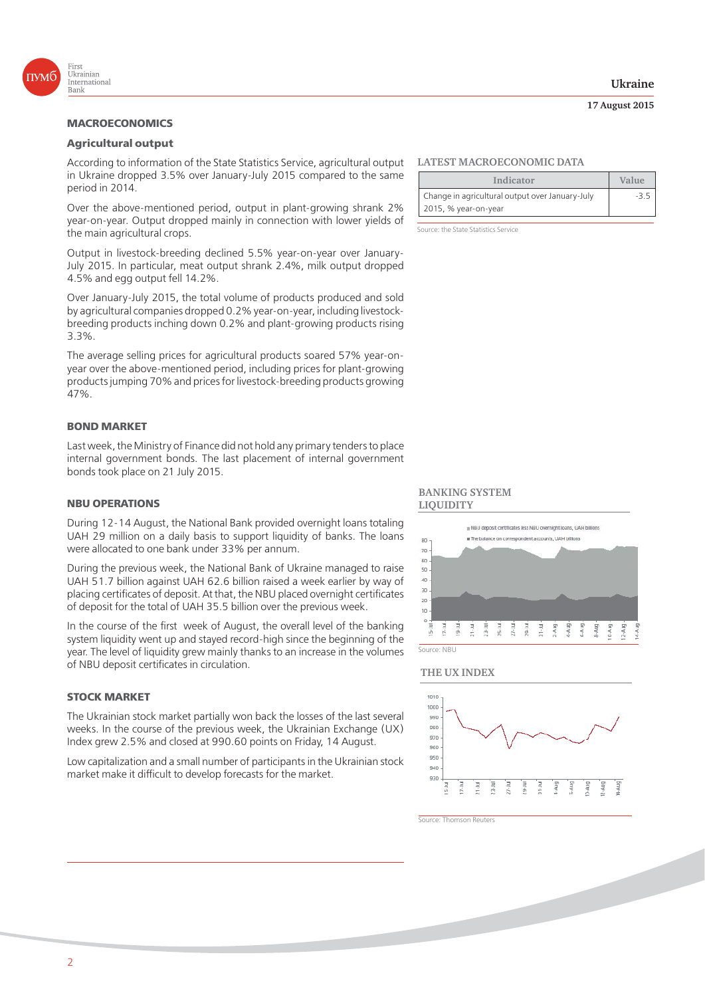

## **Agricultural output**

According to information of the State Statistics Service, agricultural output in Ukraine dropped 3.5% over January-July 2015 compared to the same period in 2014.

Over the above-mentioned period, output in plant-growing shrank 2% year-on-year. Output dropped mainly in connection with lower yields of the main agricultural crops.

Output in livestock-breeding declined 5.5% year-on-year over January-July 2015. In particular, meat output shrank 2.4%, milk output dropped 4.5% and egg output fell 14.2%.

Over January-July 2015, the total volume of products produced and sold by agricultural companies dropped 0.2% year-on-year, including livestockbreeding products inching down 0.2% and plant-growing products rising 3.3%.

The average selling prices for agricultural products soared 57% year-onyear over the above-mentioned period, including prices for plant-growing products jumping 70% and prices for livestock-breeding products growing 47%.

#### **BOND MARKET**

Last week, the Ministry of Finance did not hold any primary tenders to place internal government bonds. The last placement of internal government bonds took place on 21 July 2015.

During 12-14 August, the National Bank provided overnight loans totaling UAH 29 million on a daily basis to support liquidity of banks. The loans were allocated to one bank under 33% per annum.

During the previous week, the National Bank of Ukraine managed to raise UAH 51.7 billion against UAH 62.6 billion raised a week earlier by way of placing certificates of deposit. At that, the NBU placed overnight certificates of deposit for the total of UAH 35.5 billion over the previous week.

In the course of the first week of August, the overall level of the banking system liquidity went up and stayed record-high since the beginning of the year. The level of liquidity grew mainly thanks to an increase in the volumes of NBU deposit certificates in circulation.

#### **STOCK MARKET**

The Ukrainian stock market partially won back the losses of the last several weeks. In the course of the previous week, the Ukrainian Exchange (UX) Index grew 2.5% and closed at 990.60 points on Friday, 14 August.

Low capitalization and a small number of participants in the Ukrainian stock market make it difficult to develop forecasts for the market.

### **LATEST MACROECONOMIC DATA**

| Indicator                                       | Value |
|-------------------------------------------------|-------|
| Change in agricultural output over January-July |       |
| 2015, % year-on-year                            |       |

Source: the State Statistics Service

#### **BANKING SYSTEM LIQUIDITY**



#### **THE UX INDEX**



Source: Thomson Reuters

**17 August 2015**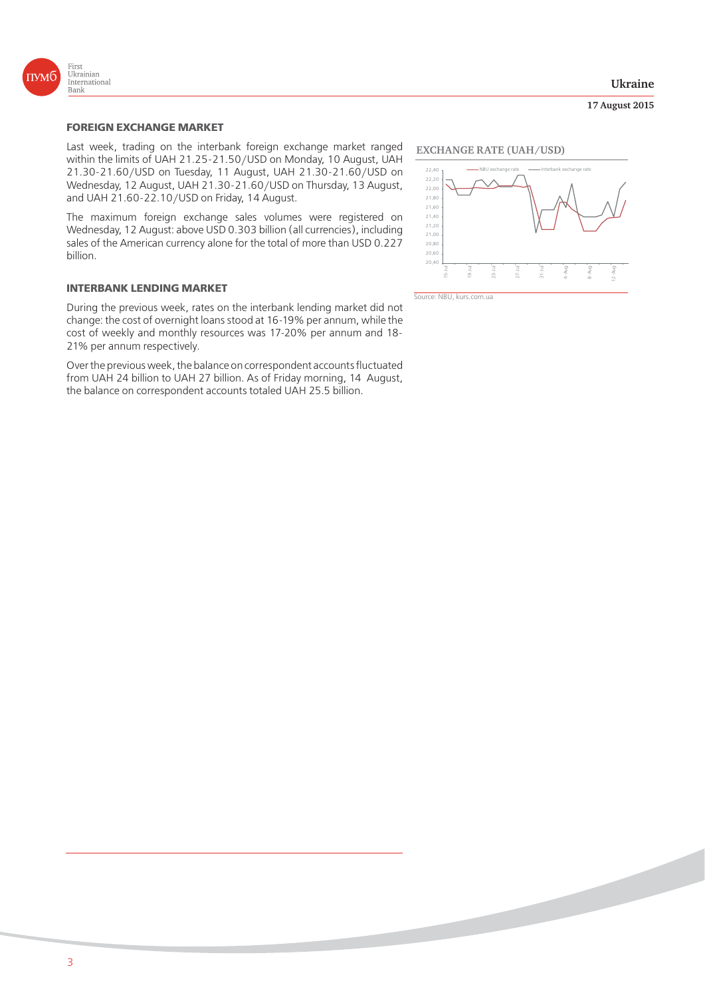

#### **Ukraine**

#### **17 August 2015**

Last week, trading on the interbank foreign exchange market ranged within the limits of UAH 21.25-21.50/USD on Monday, 10 August, UAH 21.30-21.60/USD on Tuesday, 11 August, UAH 21.30-21.60/USD on Wednesday, 12 August, UAH 21.30-21.60/USD on Thursday, 13 August, and UAH 21.60-22.10/USD on Friday, 14 August.

The maximum foreign exchange sales volumes were registered on Wednesday, 12 August: above USD 0.303 billion (all currencies), including sales of the American currency alone for the total of more than USD 0.227 billion.

#### **INTERBANK LENDING MARKET**

During the previous week, rates on the interbank lending market did not change: the cost of overnight loans stood at 16-19% per annum, while the cost of weekly and monthly resources was 17-20% per annum and 18- 21% per annum respectively.

Over the previous week, the balance on correspondent accounts fluctuated from UAH 24 billion to UAH 27 billion. As of Friday morning, 14 August, the balance on correspondent accounts totaled UAH 25.5 billion.

#### **EXCHANGE RATE (UAH/USD)**



Source: NBU, kurs.com.ua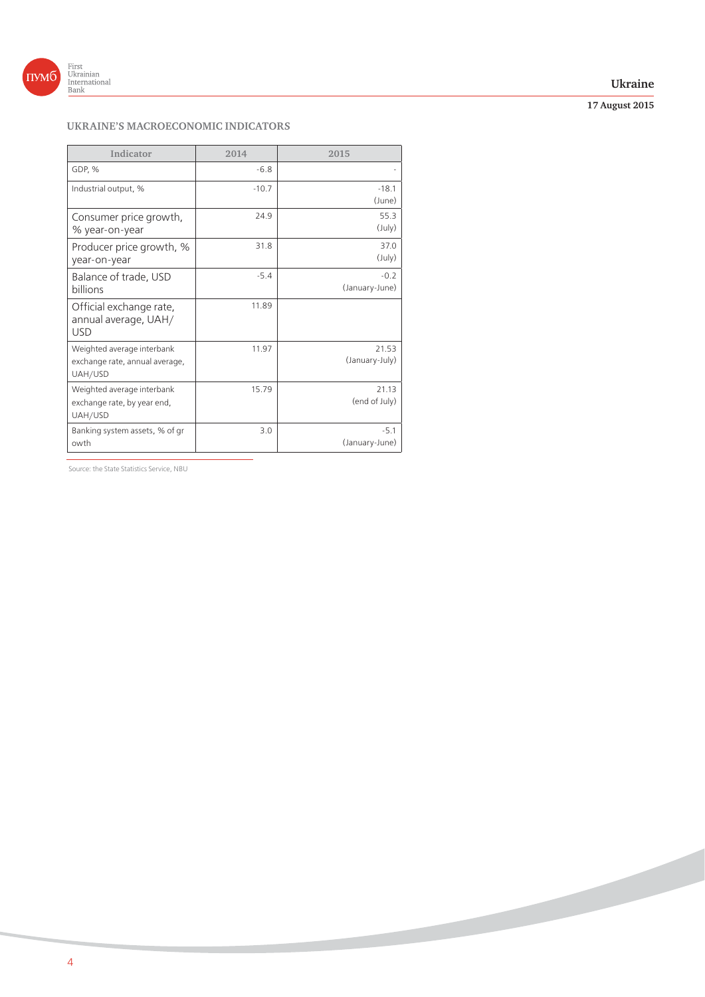

#### **Ukraine**

**17 August 2015**

## **UKRAINE'S MACROECONOMIC INDICATORS**

| Indicator                                                               | 2014    | 2015                     |
|-------------------------------------------------------------------------|---------|--------------------------|
| GDP, %                                                                  | $-6.8$  |                          |
| Industrial output, %                                                    | $-10.7$ | $-18.1$<br>(June)        |
| Consumer price growth,<br>% year-on-year                                | 24.9    | 55.3<br>$(\text{July})$  |
| Producer price growth, %<br>year-on-year                                | 31.8    | 37.0<br>$(\text{July})$  |
| Balance of trade, USD<br>billions                                       | $-5.4$  | $-0.2$<br>(January-June) |
| Official exchange rate,<br>annual average, UAH/<br><b>USD</b>           | 11.89   |                          |
| Weighted average interbank<br>exchange rate, annual average,<br>UAH/USD | 11.97   | 21.53<br>(January-July)  |
| Weighted average interbank<br>exchange rate, by year end,<br>UAH/USD    | 15.79   | 21.13<br>(end of July)   |
| Banking system assets, % of gr<br>owth                                  | 3.0     | $-5.1$<br>(January-June) |

Source: the State Statistics Service, NBU